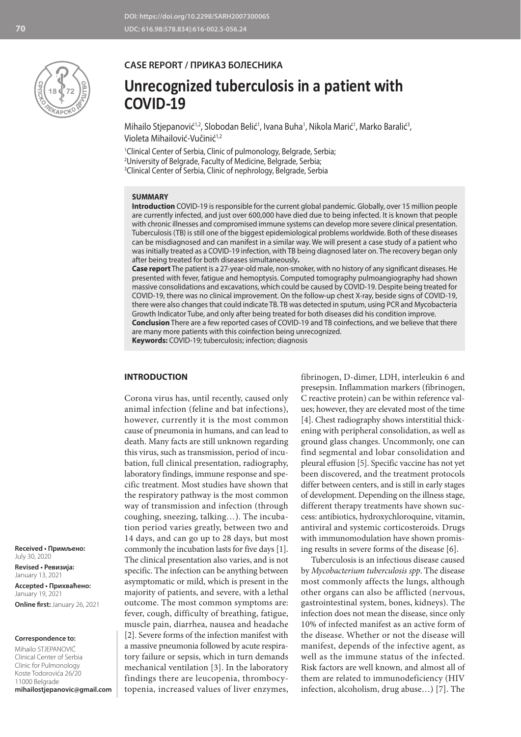

#### **CASE REPORT / ПРИКАЗ БОЛЕСНИКА**

# **Unrecognized tuberculosis in a patient with COVID-19**

Mihailo Stjepanović<sup>1,2</sup>, Slobodan Belić<sup>1</sup>, Ivana Buha<sup>1</sup>, Nikola Marić<sup>1</sup>, Marko Baralić<sup>3</sup>, Violeta Mihailović-Vučinić<sup>1,2</sup>

1 Clinical Center of Serbia, Clinic of pulmonology, Belgrade, Serbia; 2 University of Belgrade, Faculty of Medicine, Belgrade, Serbia; 3 Clinical Center of Serbia, Clinic of nephrology, Belgrade, Serbia

#### **SUMMARY**

**Introduction** COVID-19 is responsible for the current global pandemic. Globally, over 15 million people are currently infected, and just over 600,000 have died due to being infected. It is known that people with chronic illnesses and compromised immune systems can develop more severe clinical presentation. Tuberculosis (TB) is still one of the biggest epidemiological problems worldwide. Both of these diseases can be misdiagnosed and can manifest in a similar way. We will present a case study of a patient who was initially treated as a COVID-19 infection, with TB being diagnosed later on. The recovery began only after being treated for both diseases simultaneously**.**

**Case report** The patient is a 27-year-old male, non-smoker, with no history of any significant diseases. He presented with fever, fatigue and hemoptysis. Computed tomography pulmoangiography had shown massive consolidations and excavations, which could be caused by COVID-19. Despite being treated for COVID-19, there was no clinical improvement. On the follow-up chest X-ray, beside signs of COVID-19, there were also changes that could indicate TB. TB was detected in sputum, using PCR and Mycobacteria Growth Indicator Tube, and only after being treated for both diseases did his condition improve. **Conclusion** There are a few reported cases of COVID-19 and TB coinfections, and we believe that there

are many more patients with this coinfection being unrecognized.

**Keywords:** COVID-19; tuberculosis; infection; diagnosis

#### **INTRODUCTION**

Corona virus has, until recently, caused only animal infection (feline and bat infections), however, currently it is the most common cause of pneumonia in humans, and can lead to death. Many facts are still unknown regarding this virus, such as transmission, period of incubation, full clinical presentation, radiography, laboratory findings, immune response and specific treatment. Most studies have shown that the respiratory pathway is the most common way of transmission and infection (through coughing, sneezing, talking…). The incubation period varies greatly, between two and 14 days, and can go up to 28 days, but most commonly the incubation lasts for five days [1]. The clinical presentation also varies, and is not specific. The infection can be anything between asymptomatic or mild, which is present in the majority of patients, and severe, with a lethal outcome. The most common symptoms are: fever, cough, difficulty of breathing, fatigue, muscle pain, diarrhea, nausea and headache [2]. Severe forms of the infection manifest with a massive pneumonia followed by acute respiratory failure or sepsis, which in turn demands mechanical ventilation [3]. In the laboratory findings there are leucopenia, thrombocytopenia, increased values of liver enzymes,

fibrinogen, D-dimer, LDH, interleukin 6 and presepsin. Inflammation markers (fibrinogen, C reactive protein) can be within reference values; however, they are elevated most of the time [4]. Chest radiography shows interstitial thickening with peripheral consolidation, as well as ground glass changes. Uncommonly, one can find segmental and lobar consolidation and pleural effusion [5]. Specific vaccine has not yet been discovered, and the treatment protocols differ between centers, and is still in early stages of development. Depending on the illness stage, different therapy treatments have shown success: antibiotics, hydroxychloroquine, vitamin, antiviral and systemic corticosteroids. Drugs with immunomodulation have shown promising results in severe forms of the disease [6].

Tuberculosis is an infectious disease caused by *Mycobacterium tuberculosis spp*. The disease most commonly affects the lungs, although other organs can also be afflicted (nervous, gastrointestinal system, bones, kidneys). The infection does not mean the disease, since only 10% of infected manifest as an active form of the disease. Whether or not the disease will manifest, depends of the infective agent, as well as the immune status of the infected. Risk factors are well known, and almost all of them are related to immunodeficiency (HIV infection, alcoholism, drug abuse…) [7]. The

**Received • Примљено:**  July 30, 2020

**Revised • Ревизија:**  January 13, 2021 **Accepted • Прихваћено:** January 19, 2021 **Online first:** January 26, 2021

#### **Correspondence to:**

Mihailo STJEPANOVIĆ Clinical Center of Serbia Clinic for Pulmonology Koste Todorovića 26/20 11000 Belgrade **mihailostjepanovic@gmail.com**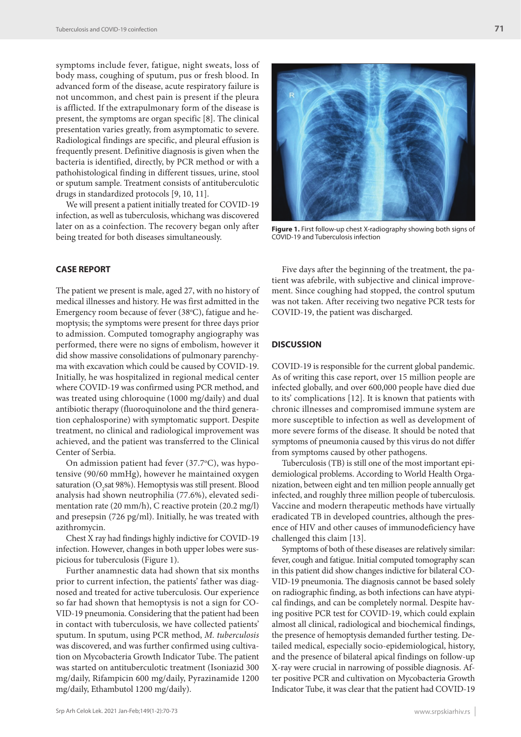symptoms include fever, fatigue, night sweats, loss of body mass, coughing of sputum, pus or fresh blood. In advanced form of the disease, acute respiratory failure is not uncommon, and chest pain is present if the pleura is afflicted. If the extrapulmonary form of the disease is present, the symptoms are organ specific [8]. The clinical presentation varies greatly, from asymptomatic to severe. Radiological findings are specific, and pleural effusion is frequently present. Definitive diagnosis is given when the bacteria is identified, directly, by PCR method or with a pathohistological finding in different tissues, urine, stool or sputum sample. Treatment consists of antituberculotic drugs in standardized protocols [9, 10, 11].

We will present a patient initially treated for COVID-19 infection, as well as tuberculosis, whichang was discovered later on as a coinfection. The recovery began only after being treated for both diseases simultaneously.

### **CASE REPORT**

The patient we present is male, aged 27, with no history of medical illnesses and history. He was first admitted in the Emergency room because of fever (38°C), fatigue and hemoptysis; the symptoms were present for three days prior to admission. Computed tomography angiography was performed, there were no signs of embolism, however it did show massive consolidations of pulmonary parenchyma with excavation which could be caused by COVID-19. Initially, he was hospitalized in regional medical center where COVID-19 was confirmed using PCR method, and was treated using chloroquine (1000 mg/daily) and dual antibiotic therapy (fluoroquinolone and the third generation cephalosporine) with symptomatic support. Despite treatment, no clinical and radiological improvement was achieved, and the patient was transferred to the Clinical Center of Serbia.

On admission patient had fever (37.7°C), was hypotensive (90/60 mmHg), however he maintained oxygen saturation (O<sub>2</sub>sat 98%). Hemoptysis was still present. Blood analysis had shown neutrophilia (77.6%), elevated sedimentation rate (20 mm/h), C reactive protein (20.2 mg/l) and presepsin (726 pg/ml). Initially, he was treated with azithromycin.

Chest X ray had findings highly indictive for COVID-19 infection. However, changes in both upper lobes were suspicious for tuberculosis (Figure 1).

Further anamnestic data had shown that six months prior to current infection, the patients' father was diagnosed and treated for active tuberculosis. Our experience so far had shown that hemoptysis is not a sign for CO-VID-19 pneumonia. Considering that the patient had been in contact with tuberculosis, we have collected patients' sputum. In sputum, using PCR method, *M. tuberculosis* was discovered, and was further confirmed using cultivation on Mycobacteria Growth Indicator Tube. The patient was started on antituberculotic treatment (Isoniazid 300 mg/daily, Rifampicin 600 mg/daily, Pyrazinamide 1200 mg/daily, Ethambutol 1200 mg/daily).



**Figure 1.** First follow-up chest X-radiography showing both signs of COVID-19 and Tuberculosis infection

Five days after the beginning of the treatment, the patient was afebrile, with subjective and clinical improvement. Since coughing had stopped, the control sputum was not taken. After receiving two negative PCR tests for COVID-19, the patient was discharged.

#### **DISCUSSION**

COVID-19 is responsible for the current global pandemic. As of writing this case report, over 15 million people are infected globally, and over 600,000 people have died due to its' complications [12]. It is known that patients with chronic illnesses and compromised immune system are more susceptible to infection as well as development of more severe forms of the disease. It should be noted that symptoms of pneumonia caused by this virus do not differ from symptoms caused by other pathogens.

Tuberculosis (TB) is still one of the most important epidemiological problems. According to World Health Organization, between eight and ten million people annually get infected, and roughly three million people of tuberculosis. Vaccine and modern therapeutic methods have virtually eradicated TB in developed countries, although the presence of HIV and other causes of immunodeficiency have challenged this claim [13].

Symptoms of both of these diseases are relatively similar: fever, cough and fatigue. Initial computed tomography scan in this patient did show changes indictive for bilateral CO-VID-19 pneumonia. The diagnosis cannot be based solely on radiographic finding, as both infections can have atypical findings, and can be completely normal. Despite having positive PCR test for COVID-19, which could explain almost all clinical, radiological and biochemical findings, the presence of hemoptysis demanded further testing. Detailed medical, especially socio-epidemiological, history, and the presence of bilateral apical findings on follow-up X-ray were crucial in narrowing of possible diagnosis. After positive PCR and cultivation on Mycobacteria Growth Indicator Tube, it was clear that the patient had COVID-19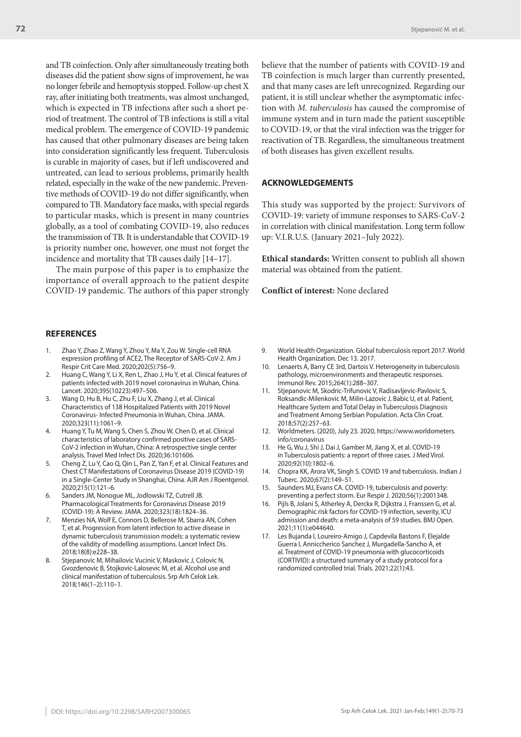and TB coinfection. Only after simultaneously treating both diseases did the patient show signs of improvement, he was no longer febrile and hemoptysis stopped. Follow-up chest X ray, after initiating both treatments, was almost unchanged, which is expected in TB infections after such a short period of treatment. The control of TB infections is still a vital medical problem. The emergence of COVID-19 pandemic has caused that other pulmonary diseases are being taken into consideration significantly less frequent. Tuberculosis is curable in majority of cases, but if left undiscovered and untreated, can lead to serious problems, primarily health related, especially in the wake of the new pandemic. Preventive methods of COVID-19 do not differ significantly, when compared to TB. Mandatory face masks, with special regards to particular masks, which is present in many countries globally, as a tool of combating COVID-19, also reduces the transmission of TB. It is understandable that COVID-19 is priority number one, however, one must not forget the incidence and mortality that TB causes daily [14–17].

The main purpose of this paper is to emphasize the importance of overall approach to the patient despite COVID-19 pandemic. The authors of this paper strongly

#### **REFERENCES**

- 1. Zhao Y, Zhao Z, Wang Y, Zhou Y, Ma Y, Zou W. Single-cell RNA expression profiling of ACE2, The Receptor of SARS-CoV-2. Am J Respir Crit Care Med. 2020;202(5):756–9.
- 2. Huang C, Wang Y, Li X, Ren L, Zhao J, Hu Y, et al. Clinical features of patients infected with 2019 novel coronavirus in Wuhan, China. Lancet. 2020;395(10223):497–506.
- 3. Wang D, Hu B, Hu C, Zhu F, Liu X, Zhang J, et al. Clinical Characteristics of 138 Hospitalized Patients with 2019 Novel Coronavirus- Infected Pneumonia in Wuhan, China. JAMA. 2020;323(11):1061–9.
- 4. Huang Y, Tu M, Wang S, Chen S, Zhou W, Chen D, et al. Clinical characteristics of laboratory confirmed positive cases of SARS-CoV-2 infection in Wuhan, China: A retrospective single center analysis. Travel Med Infect Dis. 2020;36:101606.
- 5. Cheng Z, Lu Y, Cao Q, Qin L, Pan Z, Yan F, et al. Clinical Features and Chest CT Manifestations of Coronavirus Disease 2019 (COVID-19) in a Single-Center Study in Shanghai, China. AJR Am J Roentgenol. 2020;215(1):121–6.
- 6. Sanders JM, Nonogue ML, Jodlowski TZ, Cutrell JB. Pharmacological Treatments for Coronavirus Disease 2019 (COVID-19): A Review. JAMA. 2020;323(18):1824–36.
- 7. Menzies NA, Wolf E, Connors D, Bellerose M, Sbarra AN, Cohen T, et al. Progression from latent infection to active disease in dynamic tuberculosis transmission models: a systematic review of the validity of modelling assumptions. Lancet Infect Dis. 2018;18(8):e228–38.
- 8. Stjepanovic M, Mihailovic Vucinic V, Maskovic J, Colovic N, Gvozdenovic B, Stojkovic-Lalosevic M, et al. Alcohol use and clinical manifestation of tuberculosis. Srp Arh Celok Lek. 2018;146(1–2):110–1.

believe that the number of patients with COVID-19 and TB coinfection is much larger than currently presented, and that many cases are left unrecognized. Regarding our patient, it is still unclear whether the asymptomatic infection with *M. tuberculosis* has caused the compromise of immune system and in turn made the patient susceptible to COVID-19, or that the viral infection was the trigger for reactivation of TB. Regardless, the simultaneous treatment of both diseases has given excellent results.

#### **ACKNOWLEDGEMENTS**

This study was supported by the project: Survivors of COVID-19: variety of immune responses to SARS-CoV-2 in correlation with clinical manifestation. Long term follow up: V.I.R.U.S. (January 2021–July 2022).

**Ethical standards:** Written consent to publish all shown material was obtained from the patient.

**Conflict of interest:** None declared

- 9. World Health Organization. Global tuberculosis report 2017. World Health Organization. Dec 13. 2017.
- 10. Lenaerts A, Barry CE 3rd, Dartois V. Heterogeneity in tuberculosis pathology, microenvironments and therapeutic responses. Immunol Rev. 2015;264(1):288–307.
- 11. Stjepanovic M, Skodric-Trifunovic V, Radisavljevic-Pavlovic S, Roksandic-Milenkovic M, Milin-Lazovic J, Babic U, et al. Patient, Healthcare System and Total Delay in Tuberculosis Diagnosis and Treatment Among Serbian Population. Acta Clin Croat. 2018;57(2):257–63.
- 12. Worldmeters. (2020), July 23. 2020, https://www.worldometers. info/coronavirus
- 13. He G, Wu J, Shi J, Dai J, Gamber M, Jiang X, et al. COVID-19 in Tuberculosis patients: a report of three cases. J Med Virol. 2020;92(10):1802–6.
- 14. Chopra KK, Arora VK, Singh S. COVID 19 and tuberculosis. Indian J Tuberc. 2020;67(2):149–51.
- 15. Saunders MJ, Evans CA. COVID-19, tuberculosis and poverty: preventing a perfect storm. Eur Respir J. 2020;56(1):2001348.
- 16. Pijls B, Jolani S, Atherley A, Derckx R, Dijkstra J, Franssen G, et al. Demographic risk factors for COVID-19 infection, severity, ICU admission and death: a meta-analysis of 59 studies. BMJ Open. 2021;11(1):e044640.
- 17. Les Bujanda I, Loureiro-Amigo J, Capdevila Bastons F, Elejalde Guerra I, Anniccherico Sanchez J, Murgadella-Sancho A, et al. Treatment of COVID-19 pneumonia with glucocorticoids (CORTIVID): a structured summary of a study protocol for a randomized controlled trial. Trials. 2021;22(1):43.